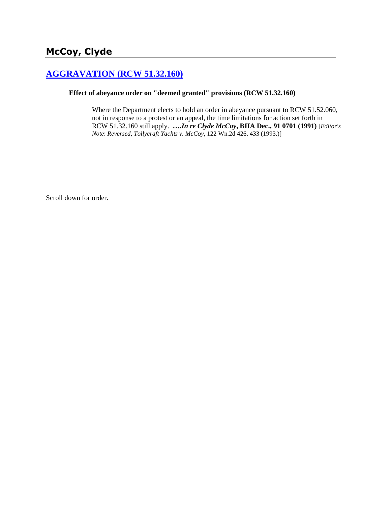## **[AGGRAVATION \(RCW 51.32.160\)](http://www.biia.wa.gov/SDSubjectIndex.html#AGGRAVATION)**

## **Effect of abeyance order on "deemed granted" provisions (RCW 51.32.160)**

Where the Department elects to hold an order in abeyance pursuant to RCW 51.52.060, not in response to a protest or an appeal, the time limitations for action set forth in RCW 51.32.160 still apply. **….***In re Clyde McCoy***, BIIA Dec., 91 0701 (1991)** [*Editor's Note*: *Reversed, Tollycraft Yachts v. McCoy*, 122 Wn.2d 426, 433 (1993.)]

Scroll down for order.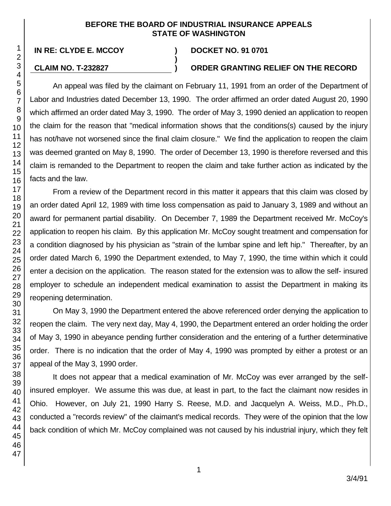## **BEFORE THE BOARD OF INDUSTRIAL INSURANCE APPEALS STATE OF WASHINGTON**

**)**

47

**IN RE: CLYDE E. MCCOY ) DOCKET NO. 91 0701**

## **CLAIM NO. T-232827 ) ORDER GRANTING RELIEF ON THE RECORD**

An appeal was filed by the claimant on February 11, 1991 from an order of the Department of Labor and Industries dated December 13, 1990. The order affirmed an order dated August 20, 1990 which affirmed an order dated May 3, 1990. The order of May 3, 1990 denied an application to reopen the claim for the reason that "medical information shows that the conditions(s) caused by the injury has not/have not worsened since the final claim closure." We find the application to reopen the claim was deemed granted on May 8, 1990. The order of December 13, 1990 is therefore reversed and this claim is remanded to the Department to reopen the claim and take further action as indicated by the facts and the law.

From a review of the Department record in this matter it appears that this claim was closed by an order dated April 12, 1989 with time loss compensation as paid to January 3, 1989 and without an award for permanent partial disability. On December 7, 1989 the Department received Mr. McCoy's application to reopen his claim. By this application Mr. McCoy sought treatment and compensation for a condition diagnosed by his physician as "strain of the lumbar spine and left hip." Thereafter, by an order dated March 6, 1990 the Department extended, to May 7, 1990, the time within which it could enter a decision on the application. The reason stated for the extension was to allow the self- insured employer to schedule an independent medical examination to assist the Department in making its reopening determination.

On May 3, 1990 the Department entered the above referenced order denying the application to reopen the claim. The very next day, May 4, 1990, the Department entered an order holding the order of May 3, 1990 in abeyance pending further consideration and the entering of a further determinative order. There is no indication that the order of May 4, 1990 was prompted by either a protest or an appeal of the May 3, 1990 order.

It does not appear that a medical examination of Mr. McCoy was ever arranged by the selfinsured employer. We assume this was due, at least in part, to the fact the claimant now resides in Ohio. However, on July 21, 1990 Harry S. Reese, M.D. and Jacquelyn A. Weiss, M.D., Ph.D., conducted a "records review" of the claimant's medical records. They were of the opinion that the low back condition of which Mr. McCoy complained was not caused by his industrial injury, which they felt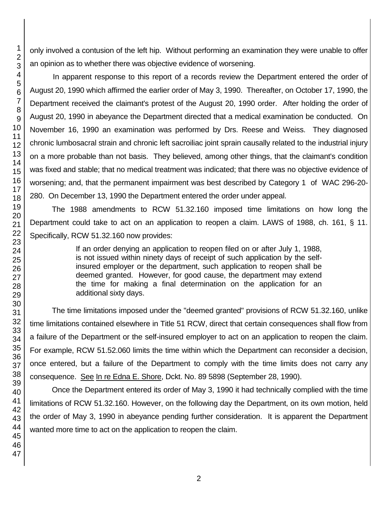only involved a contusion of the left hip. Without performing an examination they were unable to offer an opinion as to whether there was objective evidence of worsening.

In apparent response to this report of a records review the Department entered the order of August 20, 1990 which affirmed the earlier order of May 3, 1990. Thereafter, on October 17, 1990, the Department received the claimant's protest of the August 20, 1990 order. After holding the order of August 20, 1990 in abeyance the Department directed that a medical examination be conducted. On November 16, 1990 an examination was performed by Drs. Reese and Weiss. They diagnosed chronic lumbosacral strain and chronic left sacroiliac joint sprain causally related to the industrial injury on a more probable than not basis. They believed, among other things, that the claimant's condition was fixed and stable; that no medical treatment was indicated; that there was no objective evidence of worsening; and, that the permanent impairment was best described by Category 1 of WAC 296-20- 280. On December 13, 1990 the Department entered the order under appeal.

The 1988 amendments to RCW 51.32.160 imposed time limitations on how long the Department could take to act on an application to reopen a claim. LAWS of 1988, ch. 161, § 11. Specifically, RCW 51.32.160 now provides:

> If an order denying an application to reopen filed on or after July 1, 1988, is not issued within ninety days of receipt of such application by the selfinsured employer or the department, such application to reopen shall be deemed granted. However, for good cause, the department may extend the time for making a final determination on the application for an additional sixty days.

The time limitations imposed under the "deemed granted" provisions of RCW 51.32.160, unlike time limitations contained elsewhere in Title 51 RCW, direct that certain consequences shall flow from a failure of the Department or the self-insured employer to act on an application to reopen the claim. For example, RCW 51.52.060 limits the time within which the Department can reconsider a decision, once entered, but a failure of the Department to comply with the time limits does not carry any consequence. See In re Edna E. Shore, Dckt. No. 89 5898 (September 28, 1990).

Once the Department entered its order of May 3, 1990 it had technically complied with the time limitations of RCW 51.32.160. However, on the following day the Department, on its own motion, held the order of May 3, 1990 in abeyance pending further consideration. It is apparent the Department wanted more time to act on the application to reopen the claim.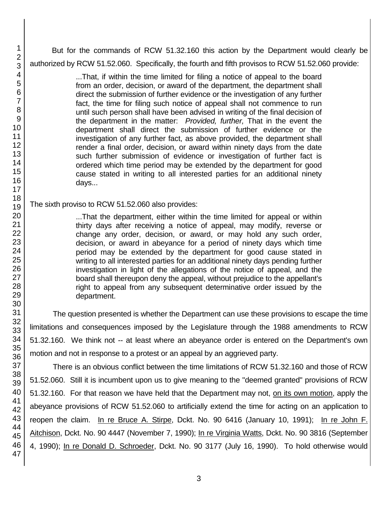But for the commands of RCW 51.32.160 this action by the Department would clearly be authorized by RCW 51.52.060. Specifically, the fourth and fifth provisos to RCW 51.52.060 provide:

> ...That, if within the time limited for filing a notice of appeal to the board from an order, decision, or award of the department, the department shall direct the submission of further evidence or the investigation of any further fact, the time for filing such notice of appeal shall not commence to run until such person shall have been advised in writing of the final decision of the department in the matter: *Provided, further,* That in the event the department shall direct the submission of further evidence or the investigation of any further fact, as above provided, the department shall render a final order, decision, or award within ninety days from the date such further submission of evidence or investigation of further fact is ordered which time period may be extended by the department for good cause stated in writing to all interested parties for an additional ninety days...

The sixth proviso to RCW 51.52.060 also provides:

...That the department, either within the time limited for appeal or within thirty days after receiving a notice of appeal, may modify, reverse or change any order, decision, or award, or may hold any such order, decision, or award in abeyance for a period of ninety days which time period may be extended by the department for good cause stated in writing to all interested parties for an additional ninety days pending further investigation in light of the allegations of the notice of appeal, and the board shall thereupon deny the appeal, without prejudice to the appellant's right to appeal from any subsequent determinative order issued by the department.

The question presented is whether the Department can use these provisions to escape the time limitations and consequences imposed by the Legislature through the 1988 amendments to RCW 51.32.160. We think not -- at least where an abeyance order is entered on the Department's own motion and not in response to a protest or an appeal by an aggrieved party.

There is an obvious conflict between the time limitations of RCW 51.32.160 and those of RCW 51.52.060. Still it is incumbent upon us to give meaning to the "deemed granted" provisions of RCW 51.32.160. For that reason we have held that the Department may not, on its own motion, apply the abeyance provisions of RCW 51.52.060 to artificially extend the time for acting on an application to reopen the claim. In re Bruce A. Stirpe, Dckt. No. 90 6416 (January 10, 1991); In re John F. Aitchison, Dckt. No. 90 4447 (November 7, 1990); In re Virginia Watts, Dckt. No. 90 3816 (September 4, 1990); In re Donald D. Schroeder, Dckt. No. 90 3177 (July 16, 1990). To hold otherwise would

1